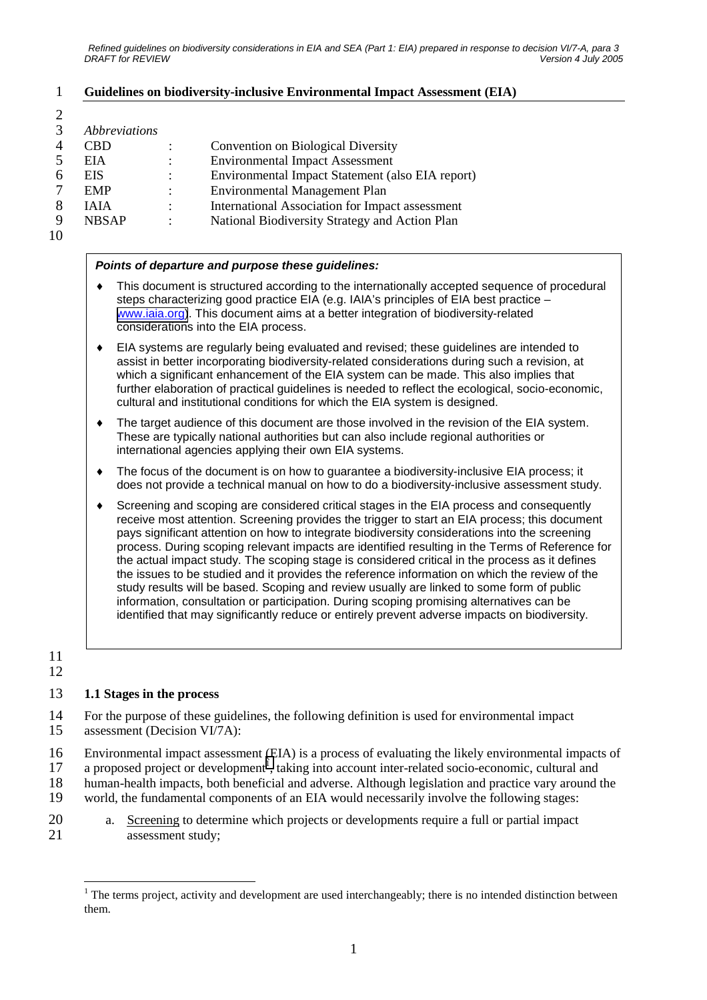#### 1 **Guidelines on biodiversity-inclusive Environmental Impact Assessment (EIA)**

|          | Abbreviations |                |                                                  |
|----------|---------------|----------------|--------------------------------------------------|
|          | <b>CBD</b>    |                | Convention on Biological Diversity               |
|          | <b>EIA</b>    | $\ddot{\cdot}$ | <b>Environmental Impact Assessment</b>           |
| 6        | <b>EIS</b>    | $\ddot{\cdot}$ | Environmental Impact Statement (also EIA report) |
|          | <b>EMP</b>    | $\ddot{\cdot}$ | <b>Environmental Management Plan</b>             |
|          | IAIA          | $\ddot{\cdot}$ | International Association for Impact assessment  |
|          | <b>NBSAP</b>  | $\bullet$      | National Biodiversity Strategy and Action Plan   |
| 1 $\cap$ |               |                |                                                  |

10

#### *Points of departure and purpose these guidelines:*

- This document is structured according to the internationally accepted sequence of procedural steps characterizing good practice EIA (e.g. IAIA's principles of EIA best practice – [www.iaia.org\)](http://www.iaia.org/). This document aims at a better integration of biodiversity-related considerations into the EIA process.
- ♦ EIA systems are regularly being evaluated and revised; these guidelines are intended to assist in better incorporating biodiversity-related considerations during such a revision, at which a significant enhancement of the EIA system can be made. This also implies that further elaboration of practical guidelines is needed to reflect the ecological, socio-economic, cultural and institutional conditions for which the EIA system is designed.
- The target audience of this document are those involved in the revision of the EIA system. These are typically national authorities but can also include regional authorities or international agencies applying their own EIA systems.
- The focus of the document is on how to guarantee a biodiversity-inclusive EIA process; it does not provide a technical manual on how to do a biodiversity-inclusive assessment study.
- Screening and scoping are considered critical stages in the EIA process and consequently receive most attention. Screening provides the trigger to start an EIA process; this document pays significant attention on how to integrate biodiversity considerations into the screening process. During scoping relevant impacts are identified resulting in the Terms of Reference for the actual impact study. The scoping stage is considered critical in the process as it defines the issues to be studied and it provides the reference information on which the review of the study results will be based. Scoping and review usually are linked to some form of public information, consultation or participation. During scoping promising alternatives can be identified that may significantly reduce or entirely prevent adverse impacts on biodiversity.

# 11

12

 $\overline{a}$ 

# 13 **1.1 Stages in the process**

- 14 For the purpose of these guidelines, the following definition is used for environmental impact
- 15 assessment (Decision VI/7A):
- 16 Environmental impact assessment (EIA) is a process of evaluating the likely environmental impacts of
- 17 a proposed project or development<sup>1</sup>, taking into account inter-related socio-economic, cultural and
- 18 human-health impacts, both beneficial and adverse. Although legislation and practice vary around the
- 19 world, the fundamental components of an EIA would necessarily involve the following stages:
- 20 a. Screening to determine which projects or developments require a full or partial impact 21 assessment study;

 $1$ <sup>1</sup> The terms project, activity and development are used interchangeably; there is no intended distinction between them.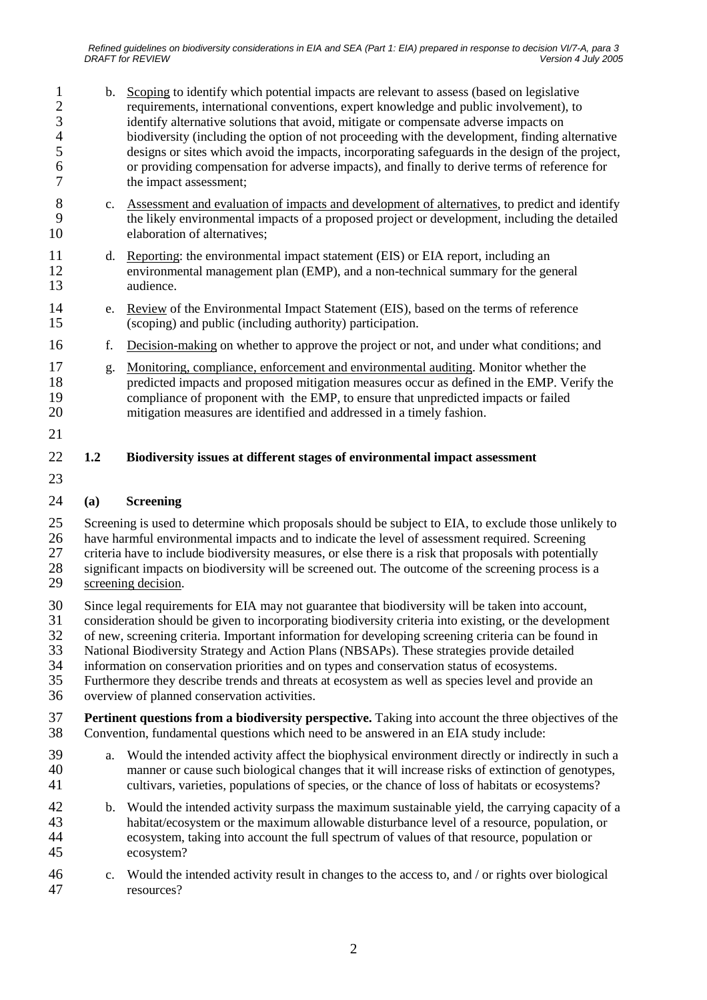- 1 b. Scoping to identify which potential impacts are relevant to assess (based on legislative requirements, international conventions, expert knowledge and public involvement), to 2 requirements, international conventions, expert knowledge and public involvement), to 3 identify alternative solutions that avoid, mitigate or compensate adverse impacts on biodiversity (including the option of not proceeding with the development, finding a 4 biodiversity (including the option of not proceeding with the development, finding alternative designs or sites which avoid the impacts, incorporating safeguards in the design of the project. 5 designs or sites which avoid the impacts, incorporating safeguards in the design of the project,<br>6 or providing compensation for adverse impacts), and finally to derive terms of reference for 6 or providing compensation for adverse impacts), and finally to derive terms of reference for the impact assessment;
- 8 c. Assessment and evaluation of impacts and development of alternatives, to predict and identify<br>9 the likely environmental impacts of a proposed project or development, including the detailed the likely environmental impacts of a proposed project or development, including the detailed 10 elaboration of alternatives;
- 11 d. Reporting: the environmental impact statement (EIS) or EIA report, including an 12 environmental management plan (EMP), and a non-technical summary for the general audience. audience.
- 14 e. Review of the Environmental Impact Statement (EIS), based on the terms of reference 15 (scoping) and public (including authority) participation.
- 16 f. Decision-making on whether to approve the project or not, and under what conditions; and
- 17 g. Monitoring, compliance, enforcement and environmental auditing. Monitor whether the 18 predicted impacts and proposed mitigation measures occur as defined in the EMP. Verify the 19 compliance of proponent with the EMP, to ensure that unpredicted impacts or failed 20 mitigation measures are identified and addressed in a timely fashion.
- 21
- 
- 22 **1.2 Biodiversity issues at different stages of environmental impact assessment**
- 23

# 24 **(a) Screening**

25 Screening is used to determine which proposals should be subject to EIA, to exclude those unlikely to

26 have harmful environmental impacts and to indicate the level of assessment required. Screening<br>27 criteria have to include biodiversity measures, or else there is a risk that proposals with potential 27 criteria have to include biodiversity measures, or else there is a risk that proposals with potentially

28 significant impacts on biodiversity will be screened out. The outcome of the screening process is a<br>29 screening decision.

- screening decision.
- 30 Since legal requirements for EIA may not guarantee that biodiversity will be taken into account,
- 31 consideration should be given to incorporating biodiversity criteria into existing, or the development
- 32 of new, screening criteria. Important information for developing screening criteria can be found in
- 33 National Biodiversity Strategy and Action Plans (NBSAPs). These strategies provide detailed
- 34 information on conservation priorities and on types and conservation status of ecosystems.
- 35 Furthermore they describe trends and threats at ecosystem as well as species level and provide an
- 36 overview of planned conservation activities.
- 37 **Pertinent questions from a biodiversity perspective.** Taking into account the three objectives of the 38 Convention, fundamental questions which need to be answered in an EIA study include:
- 39 a. Would the intended activity affect the biophysical environment directly or indirectly in such a 40 manner or cause such biological changes that it will increase risks of extinction of genotypes, 41 cultivars, varieties, populations of species, or the chance of loss of habitats or ecosystems?
- 42 b. Would the intended activity surpass the maximum sustainable yield, the carrying capacity of a 43 habitat/ecosystem or the maximum allowable disturbance level of a resource, population, or 44 ecosystem, taking into account the full spectrum of values of that resource, population or 45 ecosystem?
- 46 c. Would the intended activity result in changes to the access to, and / or rights over biological 47 resources?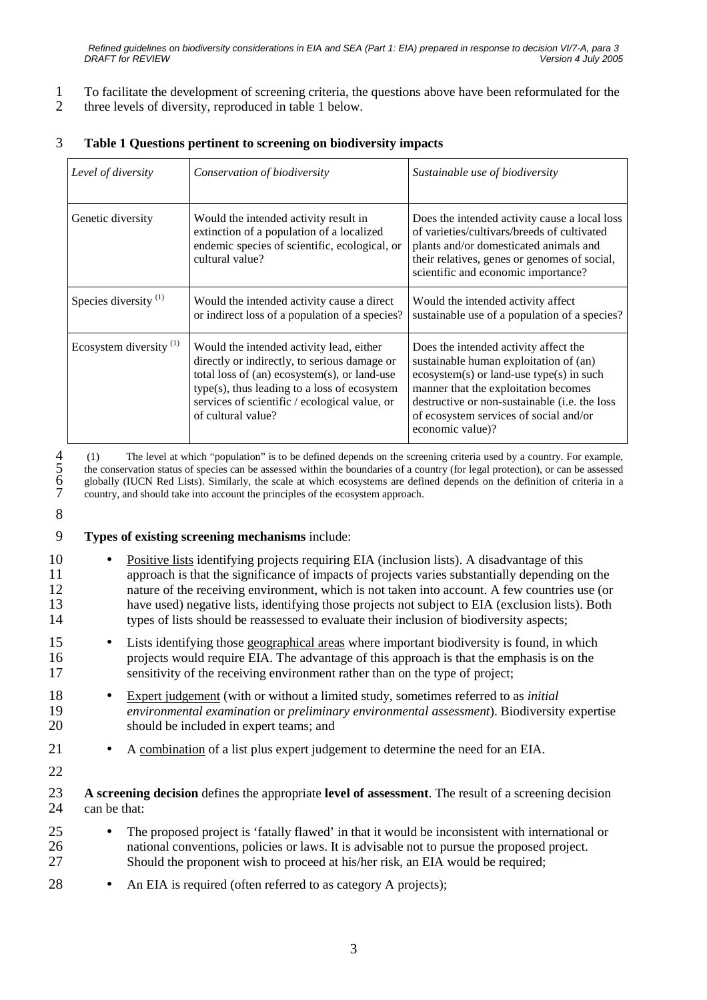*Refined guidelines on biodiversity considerations in EIA and SEA (Part 1: EIA) prepared in response to decision VI/7-A, para 3 Version 4 July 2005* 

- 1 To facilitate the development of screening criteria, the questions above have been reformulated for the
- 2 three levels of diversity, reproduced in table 1 below.

| Level of diversity                 | Conservation of biodiversity                                                                                                                                                                                                                                             | Sustainable use of biodiversity                                                                                                                                                                                                                                                         |
|------------------------------------|--------------------------------------------------------------------------------------------------------------------------------------------------------------------------------------------------------------------------------------------------------------------------|-----------------------------------------------------------------------------------------------------------------------------------------------------------------------------------------------------------------------------------------------------------------------------------------|
| Genetic diversity                  | Would the intended activity result in<br>extinction of a population of a localized<br>endemic species of scientific, ecological, or<br>cultural value?                                                                                                                   | Does the intended activity cause a local loss<br>of varieties/cultivars/breeds of cultivated<br>plants and/or domesticated animals and<br>their relatives, genes or genomes of social,<br>scientific and economic importance?                                                           |
| Species diversity <sup>(1)</sup>   | Would the intended activity cause a direct<br>or indirect loss of a population of a species?                                                                                                                                                                             | Would the intended activity affect<br>sustainable use of a population of a species?                                                                                                                                                                                                     |
| Ecosystem diversity <sup>(1)</sup> | Would the intended activity lead, either<br>directly or indirectly, to serious damage or<br>total loss of $(an)$ ecosystem $(s)$ , or land-use<br>$type(s)$ , thus leading to a loss of ecosystem<br>services of scientific / ecological value, or<br>of cultural value? | Does the intended activity affect the<br>sustainable human exploitation of (an)<br>$ecosystem(s)$ or land-use type $(s)$ in such<br>manner that the exploitation becomes<br>destructive or non-sustainable (i.e. the loss<br>of ecosystem services of social and/or<br>economic value)? |

#### 3 **Table 1 Questions pertinent to screening on biodiversity impacts**

4 (1) The level at which "population" is to be defined depends on the screening criteria used by a country. For example, the conservation status of species can be assessed within the boundaries of a country (for legal prot 5 the conservation status of species can be assessed within the boundaries of a country (for legal protection), or can be assessed 6 globally (IUCN Red Lists). Similarly, the scale at which ecosystems are defined depends on the definition of criteria in a country, and should take into account the principles of the ecosystem approach.

8

# 9 **Types of existing screening mechanisms** include:

- 10 Positive lists identifying projects requiring EIA (inclusion lists). A disadvantage of this 11 approach is that the significance of impacts of projects varies substantially depending on the 12 nature of the receiving environment, which is not taken into account. A few countries use (or 13 have used) negative lists, identifying those projects not subject to EIA (exclusion lists). Both 14 types of lists should be reassessed to evaluate their inclusion of biodiversity aspects;
- 15 Lists identifying those geographical areas where important biodiversity is found, in which 16 projects would require EIA. The advantage of this approach is that the emphasis is on the 17 sensitivity of the receiving environment rather than on the type of project;
- 18 Expert judgement (with or without a limited study, sometimes referred to as *initial*  19 *environmental examination* or *preliminary environmental assessment*). Biodiversity expertise 20 should be included in expert teams; and
- 21 A combination of a list plus expert judgement to determine the need for an EIA.
- 22
- 23 **A screening decision** defines the appropriate **level of assessment**. The result of a screening decision 24 can be that:
- 25 The proposed project is 'fatally flawed' in that it would be inconsistent with international or 26 national conventions, policies or laws. It is advisable not to pursue the proposed project. 27 Should the proponent wish to proceed at his/her risk, an EIA would be required;
- 28 An EIA is required (often referred to as category A projects);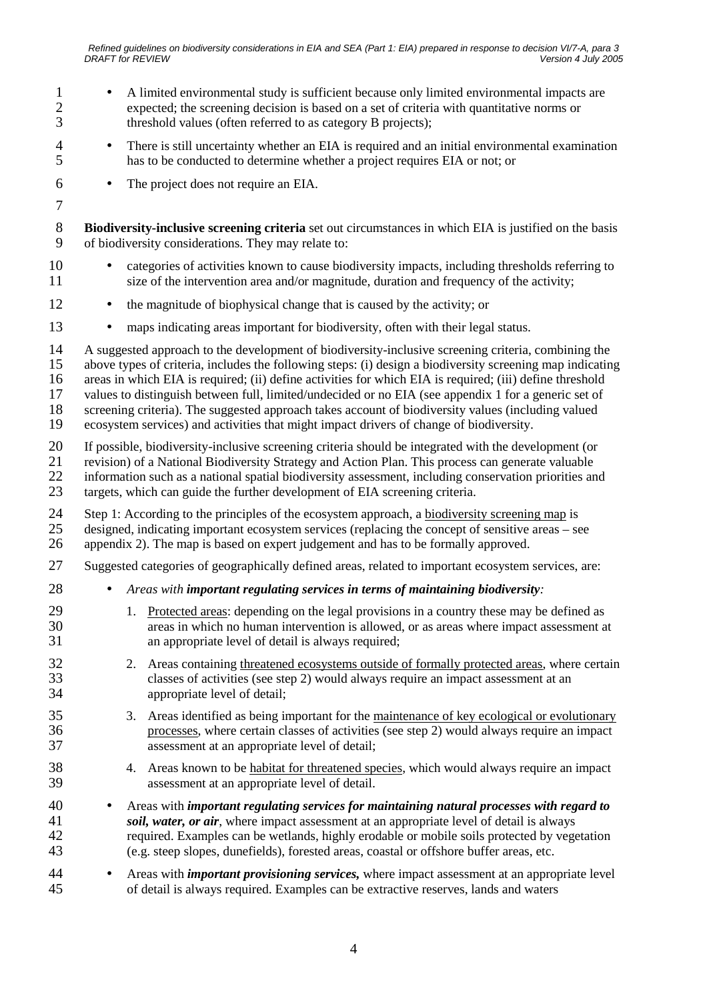- 1 A limited environmental study is sufficient because only limited environmental impacts are 2 expected; the screening decision is based on a set of criteria with quantitative norms or 3 threshold values (often referred to as category B projects);
- 4 There is still uncertainty whether an EIA is required and an initial environmental examination 5 has to be conducted to determine whether a project requires EIA or not; or
- 6 The project does not require an EIA.
- 7

8 **Biodiversity-inclusive screening criteria** set out circumstances in which EIA is justified on the basis of biodiversity considerations. They may relate to: of biodiversity considerations. They may relate to:

- 10 categories of activities known to cause biodiversity impacts, including thresholds referring to 11 size of the intervention area and/or magnitude, duration and frequency of the activity;
- 12 the magnitude of biophysical change that is caused by the activity; or
- 13 maps indicating areas important for biodiversity, often with their legal status.

14 A suggested approach to the development of biodiversity-inclusive screening criteria, combining the 15 above types of criteria, includes the following steps: (i) design a biodiversity screening map indicating 16 areas in which EIA is required; (ii) define activities for which EIA is required; (iii) define threshold 17 values to distinguish between full, limited/undecided or no EIA (see appendix 1 for a generic set of 18 screening criteria). The suggested approach takes account of biodiversity values (including valued ecosystem services) and activities that might impact drivers of change of biodiversity. 19 ecosystem services) and activities that might impact drivers of change of biodiversity.

20 If possible, biodiversity-inclusive screening criteria should be integrated with the development (or 21 revision) of a National Biodiversity Strategy and Action Plan. This process can generate valuable 22 information such as a national spatial biodiversity assessment, including conservation priorities and 23 targets, which can guide the further development of EIA screening criteria.

24 Step 1: According to the principles of the ecosystem approach, a <u>biodiversity screening map</u> is<br>25 designed, indicating important ecosystem services (replacing the concept of sensitive areas – se 25 designed, indicating important ecosystem services (replacing the concept of sensitive areas – see

26 appendix 2). The map is based on expert judgement and has to be formally approved.

- 27 Suggested categories of geographically defined areas, related to important ecosystem services, are:
- 28 *Areas with important regulating services in terms of maintaining biodiversity:*
- 29 1. Protected areas: depending on the legal provisions in a country these may be defined as 30 areas in which no human intervention is allowed, or as areas where impact assessment at 31 an appropriate level of detail is always required;
- 32 2. Areas containing threatened ecosystems outside of formally protected areas, where certain 33 classes of activities (see step 2) would always require an impact assessment at an 34 appropriate level of detail;
- 35 3. Areas identified as being important for the maintenance of key ecological or evolutionary 36 processes, where certain classes of activities (see step 2) would always require an impact 37 assessment at an appropriate level of detail;
- 38 4. Areas known to be habitat for threatened species, which would always require an impact 39 assessment at an appropriate level of detail.
- 40 Areas with *important regulating services for maintaining natural processes with regard to*  41 *soil, water, or air*, where impact assessment at an appropriate level of detail is always 42 required. Examples can be wetlands, highly erodable or mobile soils protected by vegetation 43 (e.g. steep slopes, dunefields), forested areas, coastal or offshore buffer areas, etc.
- 44 Areas with *important provisioning services,* where impact assessment at an appropriate level 45 of detail is always required. Examples can be extractive reserves, lands and waters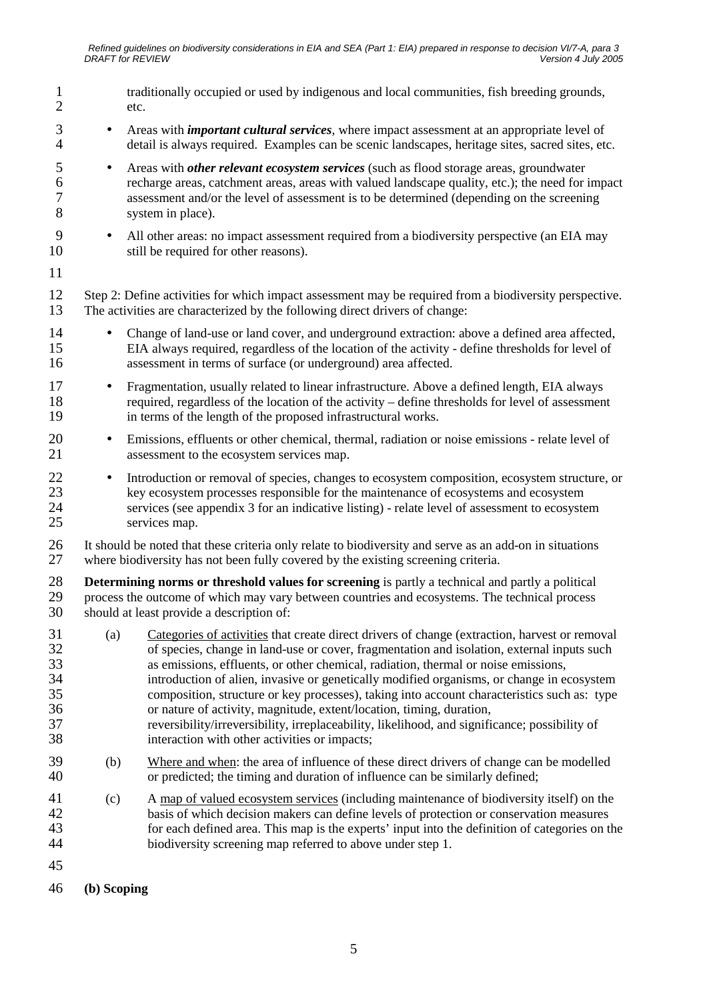1 traditionally occupied or used by indigenous and local communities, fish breeding grounds, 2 etc.

- 3 Areas with *important cultural services*, where impact assessment at an appropriate level of 4 detail is always required. Examples can be scenic landscapes, heritage sites, sacred sites, etc.
- 5 Areas with *other relevant ecosystem services* (such as flood storage areas, groundwater 6 recharge areas, catchment areas, areas with valued landscape quality, etc.); the need for impact 7 assessment and/or the level of assessment is to be determined (depending on the screening 8 system in place).
- 9 All other areas: no impact assessment required from a biodiversity perspective (an EIA may 10 still be required for other reasons).
- 11

12 Step 2: Define activities for which impact assessment may be required from a biodiversity perspective. 13 The activities are characterized by the following direct drivers of change:

- 14 Change of land-use or land cover, and underground extraction: above a defined area affected, 15 EIA always required, regardless of the location of the activity - define thresholds for level of 16 assessment in terms of surface (or underground) area affected.
- 17 Fragmentation, usually related to linear infrastructure. Above a defined length, EIA always 18 required, regardless of the location of the activity – define thresholds for level of assessment 19 in terms of the length of the proposed infrastructural works.
- 20 Emissions, effluents or other chemical, thermal, radiation or noise emissions relate level of 21 assessment to the ecosystem services map.
- <sup>22</sup> Introduction or removal of species, changes to ecosystem composition, ecosystem structure, or<br><sup>23</sup> key ecosystem processes responsible for the maintenance of ecosystems and ecosystem 23 key ecosystem processes responsible for the maintenance of ecosystems and ecosystem 24 services (see appendix 3 for an indicative listing) - relate level of assessment to ecosystem 25 services map.
- 26 It should be noted that these criteria only relate to biodiversity and serve as an add-on in situations 27 where biodiversity has not been fully covered by the existing screening criteria.

28 **Determining norms or threshold values for screening** is partly a technical and partly a political 29 process the outcome of which may vary between countries and ecosystems. The technical process 30 should at least provide a description of:

- 31 (a) Categories of activities that create direct drivers of change (extraction, harvest or removal of species, change in land-use or cover, fragmentation and isolation, external inputs such 32 of species, change in land-use or cover, fragmentation and isolation, external inputs such 33 as emissions, effluents, or other chemical, radiation, thermal or noise emissions, 34 introduction of alien, invasive or genetically modified organisms, or change in ecosystem 35 composition, structure or key processes), taking into account characteristics such as: type 36 or nature of activity, magnitude, extent/location, timing, duration, 37 reversibility/irreversibility, irreplaceability, likelihood, and significance; possibility of 38 interaction with other activities or impacts;
- 39 (b) Where and when: the area of influence of these direct drivers of change can be modelled 40 or predicted; the timing and duration of influence can be similarly defined;
- 41 (c) A map of valued ecosystem services (including maintenance of biodiversity itself) on the 42 basis of which decision makers can define levels of protection or conservation measures 43 for each defined area. This map is the experts' input into the definition of categories on the 44 biodiversity screening map referred to above under step 1.
- 45
- 46 **(b) Scoping**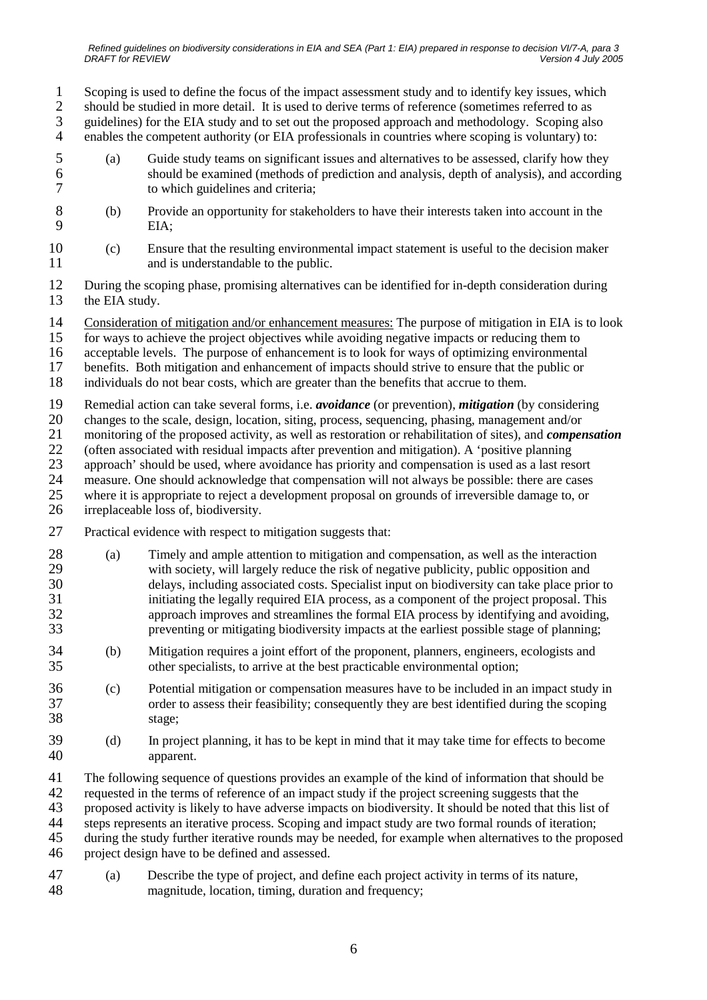1 Scoping is used to define the focus of the impact assessment study and to identify key issues, which 2 should be studied in more detail. It is used to derive terms of reference (sometimes referred to as 3 guidelines) for the EIA study and to set out the proposed approach and methodology. Scoping also<br>4 enables the connectent authority (or EIA professionals in countries where scoping is voluntary) to: enables the competent authority (or EIA professionals in countries where scoping is voluntary) to:

- 5 (a) Guide study teams on significant issues and alternatives to be assessed, clarify how they 6 should be examined (methods of prediction and analysis, depth of analysis), and according to which guidelines and criteria;
- 8 (b) Provide an opportunity for stakeholders to have their interests taken into account in the 9 EIA;

- 12 During the scoping phase, promising alternatives can be identified for in-depth consideration during 13 the EIA study.
- 14 Consideration of mitigation and/or enhancement measures: The purpose of mitigation in EIA is to look
- 
- 15 for ways to achieve the project objectives while avoiding negative impacts or reducing them to 16 acceptable levels. The purpose of enhancement is to look for ways of optimizing environmenta acceptable levels. The purpose of enhancement is to look for ways of optimizing environmental
- 17 benefits. Both mitigation and enhancement of impacts should strive to ensure that the public or
- 18 individuals do not bear costs, which are greater than the benefits that accrue to them.
- 19 Remedial action can take several forms, i.e. *avoidance* (or prevention), *mitigation* (by considering
- 20 changes to the scale, design, location, siting, process, sequencing, phasing, management and/or
- 21 monitoring of the proposed activity, as well as restoration or rehabilitation of sites), and *compensation* (often associated with residual impacts after prevention and mitigation). A 'positive planning
- 22 (often associated with residual impacts after prevention and mitigation). A 'positive planning
- 23 approach' should be used, where avoidance has priority and compensation is used as a last resort
- 24 measure. One should acknowledge that compensation will not always be possible: there are cases 25 where it is appropriate to reject a development proposal on grounds of irreversible damage to, or
- 26 irreplaceable loss of, biodiversity.
- 27 Practical evidence with respect to mitigation suggests that:
- 28 (a) Timely and ample attention to mitigation and compensation, as well as the interaction with society, will largely reduce the risk of negative publicity, public opposition and with society, will largely reduce the risk of negative publicity, public opposition and 30 delays, including associated costs. Specialist input on biodiversity can take place prior to 31 initiating the legally required EIA process, as a component of the project proposal. This<br>32 separate improves and streamlines the formal EIA process by identifying and avoiding. approach improves and streamlines the formal EIA process by identifying and avoiding, 33 preventing or mitigating biodiversity impacts at the earliest possible stage of planning;
- 34 (b) Mitigation requires a joint effort of the proponent, planners, engineers, ecologists and 35 other specialists, to arrive at the best practicable environmental option;
- 36 (c) Potential mitigation or compensation measures have to be included in an impact study in 37 order to assess their feasibility; consequently they are best identified during the scoping 38 stage;
- 39 (d) In project planning, it has to be kept in mind that it may take time for effects to become 40 apparent.
- 41 The following sequence of questions provides an example of the kind of information that should be 42 requested in the terms of reference of an impact study if the project screening suggests that the 43 proposed activity is likely to have adverse impacts on biodiversity. It should be noted that this list of 44 steps represents an iterative process. Scoping and impact study are two formal rounds of iteration; 45 during the study further iterative rounds may be needed, for example when alternatives to the proposed 46 project design have to be defined and assessed.
- 47 (a) Describe the type of project, and define each project activity in terms of its nature, 48 magnitude, location, timing, duration and frequency;

<sup>10 (</sup>c) Ensure that the resulting environmental impact statement is useful to the decision maker 11 and is understandable to the public.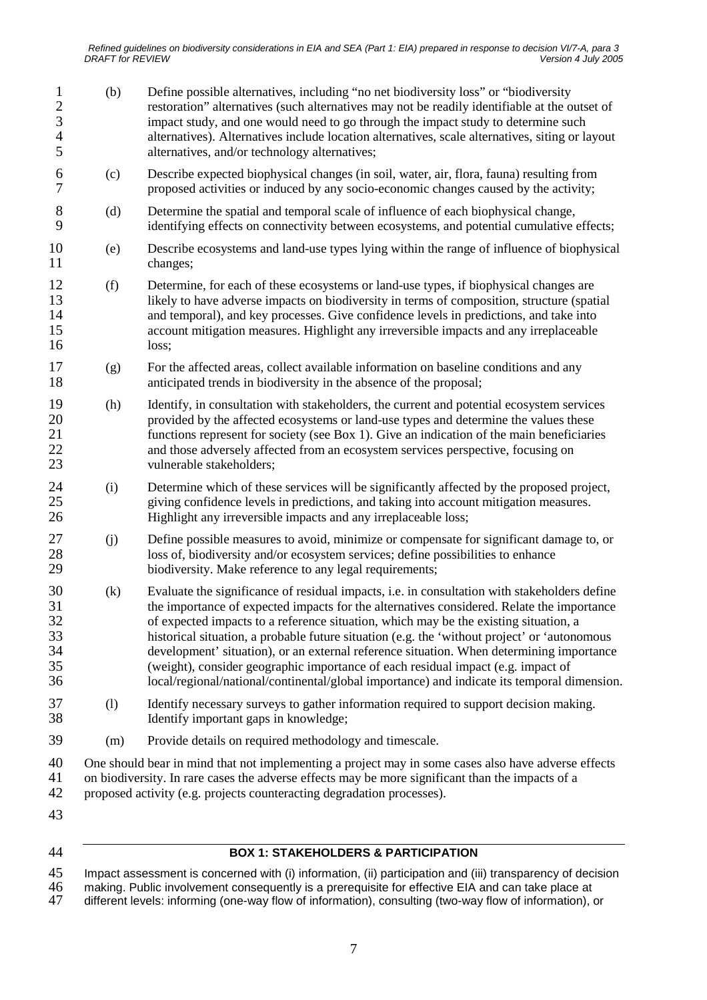- 1 (b) Define possible alternatives, including "no net biodiversity loss" or "biodiversity restoration" alternatives (such alternatives may not be readily identifiable at the o 2 restoration" alternatives (such alternatives may not be readily identifiable at the outset of 3 impact study, and one would need to go through the impact study to determine such<br>4 alternatives. Alternatives include location alternatives, scale alternatives, siting or la 4 alternatives). Alternatives include location alternatives, scale alternatives, siting or layout alternatives, and/or technology alternatives: alternatives, and/or technology alternatives; 6 (c) Describe expected biophysical changes (in soil, water, air, flora, fauna) resulting from proposed activities or induced by any socio-economic changes caused by the activity; 8 (d) Determine the spatial and temporal scale of influence of each biophysical change, 9 identifying effects on connectivity between ecosystems, and potential cumulative effects; 10 (e) Describe ecosystems and land-use types lying within the range of influence of biophysical 11 changes; 12 (f) Determine, for each of these ecosystems or land-use types, if biophysical changes are 13 likely to have adverse impacts on biodiversity in terms of composition, structure (spatial 14 and temporal), and key processes. Give confidence levels in predictions, and take into 15 account mitigation measures. Highlight any irreversible impacts and any irreplaceable  $16$  loss: 17 (g) For the affected areas, collect available information on baseline conditions and any 18 anticipated trends in biodiversity in the absence of the proposal; 19 (h) Identify, in consultation with stakeholders, the current and potential ecosystem services 20 provided by the affected ecosystems or land-use types and determine the values these 21 functions represent for society (see Box 1). Give an indication of the main beneficiaries and those adversely affected from an ecosystem services perspective, focusing on and those adversely affected from an ecosystem services perspective, focusing on 23 vulnerable stakeholders: 24 (i) Determine which of these services will be significantly affected by the proposed project, 25 giving confidence levels in predictions, and taking into account mitigation measures. 26 Highlight any irreversible impacts and any irreplaceable loss; 27 (j) Define possible measures to avoid, minimize or compensate for significant damage to, or 28 loss of, biodiversity and/or ecosystem services; define possibilities to enhance<br>29 biodiversity. Make reference to any legal requirements: biodiversity. Make reference to any legal requirements; 30 (k) Evaluate the significance of residual impacts, i.e. in consultation with stakeholders define the importance of expected impacts for the alternatives considered. Relate the importance 31 the importance of expected impacts for the alternatives considered. Relate the importance<br>32 of expected impacts to a reference situation, which may be the existing situation, a of expected impacts to a reference situation, which may be the existing situation, a 33 historical situation, a probable future situation (e.g. the 'without project' or 'autonomous 34 development' situation), or an external reference situation. When determining importance 35 (weight), consider geographic importance of each residual impact (e.g. impact of 36 local/regional/national/continental/global importance) and indicate its temporal dimension. 37 (l) Identify necessary surveys to gather information required to support decision making. 38 Identify important gaps in knowledge; 39 (m) Provide details on required methodology and timescale. 40 One should bear in mind that not implementing a project may in some cases also have adverse effects 41 on biodiversity. In rare cases the adverse effects may be more significant than the impacts of a 42 proposed activity (e.g. projects counteracting degradation processes). 43
- 

#### 44 **BOX 1: STAKEHOLDERS & PARTICIPATION**

45 Impact assessment is concerned with (i) information, (ii) participation and (iii) transparency of decision

46 making. Public involvement consequently is a prerequisite for effective EIA and can take place at 47 different levels: informing (one-way flow of information). different levels: informing (one-way flow of information), consulting (two-way flow of information), or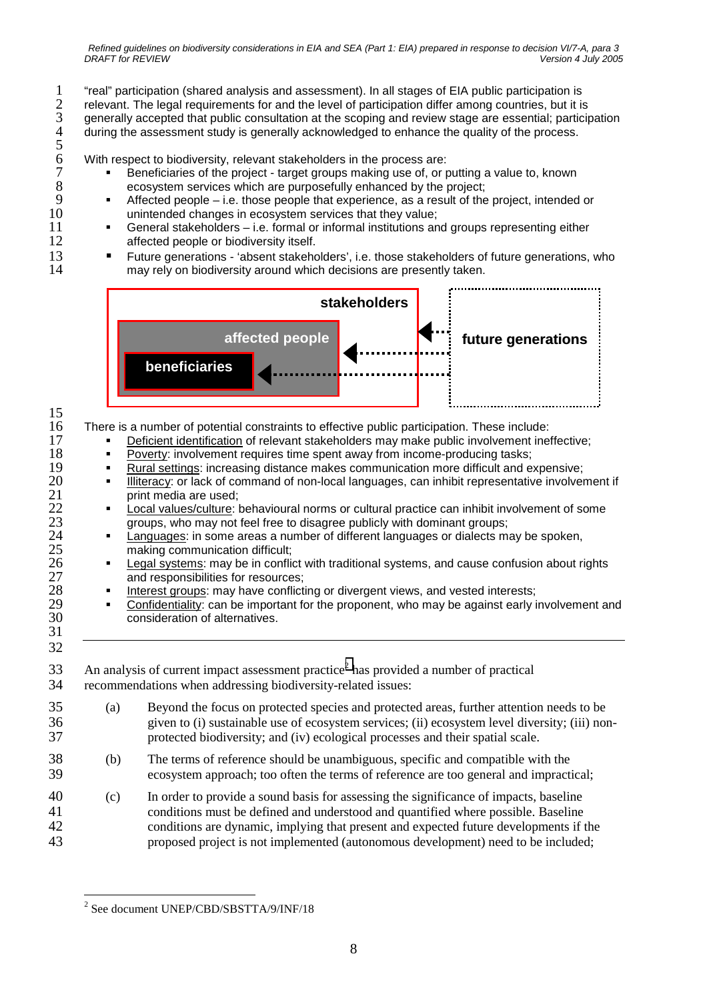1 "real" participation (shared analysis and assessment). In all stages of EIA public participation is relevant. The legal requirements for and the level of participation differ among countries, but it is generally accepted that public consultation at the scoping and review stage are essential; participation during the assessment study is generally acknowledged to enhance the quality of the process.

With respect to biodiversity, relevant stakeholders in the process are:

- <sup>7</sup> Beneficiaries of the project target groups making use of, or putting a value to, known<br>8 ecosystem services which are purposefully enhanced by the project: 8 ecosystem services which are purposefully enhanced by the project;<br>9 **F** Affected people – i.e. those people that experience, as a result of the
- 9 **a Experience Affected people i.e. those people that experience, as a result of the project, intended or unintended changes in ecosystem services that they value:** unintended changes in ecosystem services that they value;
- 11 **Example 11** General stakeholders i.e. formal or informal institutions and groups representing either 12 affected people or biodiversity itself.
- 13 **■** Future generations 'absent stakeholders', i.e. those stakeholders of future generations, who may rely on biodiversity around which decisions are presently taken may rely on biodiversity around which decisions are presently taken.



16 There is a number of potential constraints to effective public participation. These include:<br>17 **Fig. 17** Peficient identification of relevant stakeholders may make public involvement ine

- Deficient identification of relevant stakeholders may make public involvement ineffective;
- 18 **E** Poverty: involvement requires time spent away from income-producing tasks;<br>19 **EXEC RUITE:** Rural settings: increasing distance makes communication more difficult and ex
- 19 **I Rural settings:** increasing distance makes communication more difficult and expensive;<br>20 **Illiteracy:** or lack of command of non-local languages, can inhibit representative involver
- <sup>2</sup> Illiteracy: or lack of command of non-local languages, can inhibit representative involvement if 21 print media are used;<br>22 **· Cocal values/culture:** I
- <sup>22</sup> **Local values/culture:** behavioural norms or cultural practice can inhibit involvement of some<br><sup>23</sup> groups, who may not feel free to disagree publicly with dominant groups; groups, who may not feel free to disagree publicly with dominant groups;
- <sup>24</sup> **E** Languages: in some areas a number of different languages or dialects may be spoken,<br>25 making communication difficult: making communication difficult:
- <sup>26</sup> **Legal systems:** may be in conflict with traditional systems, and cause confusion about rights <sup>27</sup> and responsibilities for resources: 27 and responsibilities for resources;<br>28 Phiterest aroups: may have conflicting
- 28 **Interest groups:** may have conflicting or divergent views, and vested interests;<br>29 **Interest and interest on the important** for the proponent, who may be against early i
- <sup>29</sup> <sup>I</sup> Confidentiality: can be important for the proponent, who may be against early involvement and consideration of alternatives. consideration of alternatives.

# 31 32

 $\overline{a}$ 

 $\frac{15}{16}$ 

 $\frac{1}{2}$  $\frac{3}{4}$  $\frac{4}{5}$  $\frac{6}{7}$ 

- $33$  An analysis of current impact assessment practice<sup>2</sup> has provided a number of practical 34 recommendations when addressing biodiversity-related issues:
- 35 (a) Beyond the focus on protected species and protected areas, further attention needs to be 36 given to (i) sustainable use of ecosystem services; (ii) ecosystem level diversity; (iii) non-37 protected biodiversity; and (iv) ecological processes and their spatial scale.
- 38 (b) The terms of reference should be unambiguous, specific and compatible with the 39 ecosystem approach; too often the terms of reference are too general and impractical;
- 40 (c) In order to provide a sound basis for assessing the significance of impacts, baseline 41 conditions must be defined and understood and quantified where possible. Baseline 42 conditions are dynamic, implying that present and expected future developments if the 43 proposed project is not implemented (autonomous development) need to be included;

<sup>2</sup> See document UNEP/CBD/SBSTTA/9/INF/18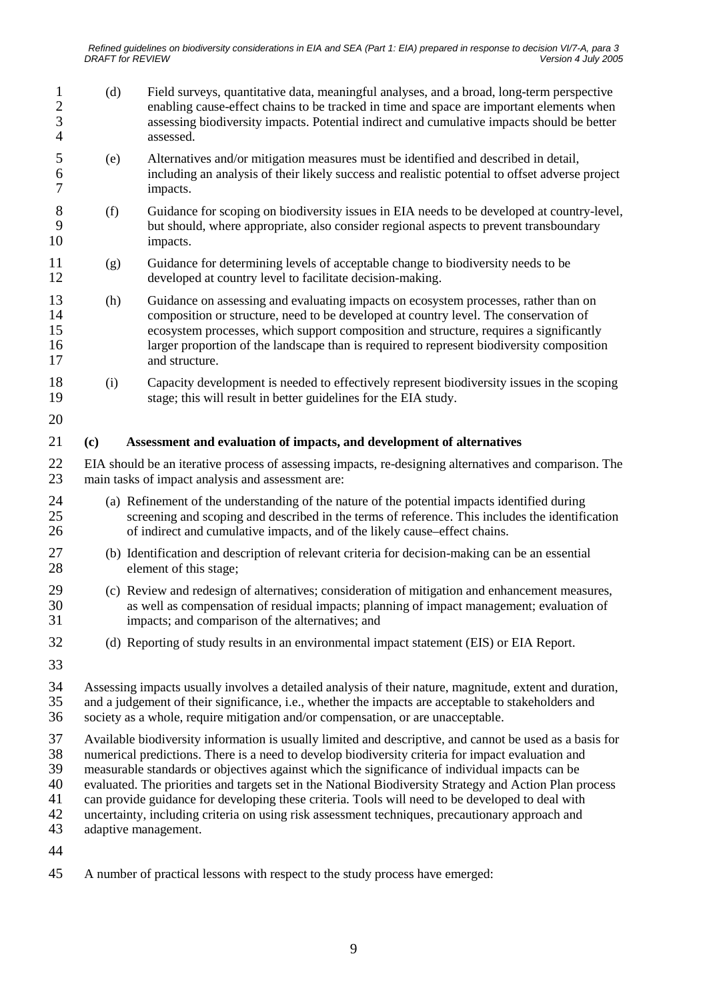- 1 (d) Field surveys, quantitative data, meaningful analyses, and a broad, long-term perspective 2 enabling cause-effect chains to be tracked in time and space are important elements when 3 assessing biodiversity impacts. Potential indirect and cumulative impacts should be better 4 assessed.
- 5 (e) Alternatives and/or mitigation measures must be identified and described in detail, 6 including an analysis of their likely success and realistic potential to offset adverse project impacts.
- 8 (f) Guidance for scoping on biodiversity issues in EIA needs to be developed at country-level, 9 but should, where appropriate, also consider regional aspects to prevent transboundary 10 impacts.
- 11 (g) Guidance for determining levels of acceptable change to biodiversity needs to be 12 developed at country level to facilitate decision-making.
- 13 (h) Guidance on assessing and evaluating impacts on ecosystem processes, rather than on 14 composition or structure, need to be developed at country level. The conservation of 15 ecosystem processes, which support composition and structure, requires a significantly 16 larger proportion of the landscape than is required to represent biodiversity composition 17 and structure.
- 18 (i) Capacity development is needed to effectively represent biodiversity issues in the scoping 19 stage; this will result in better guidelines for the EIA study.
- 20

# 21 **(c) Assessment and evaluation of impacts, and development of alternatives**

22 EIA should be an iterative process of assessing impacts, re-designing alternatives and comparison. The main tasks of impact analysis and assessment are: main tasks of impact analysis and assessment are:

- 24 (a) Refinement of the understanding of the nature of the potential impacts identified during 25 screening and scoping and described in the terms of reference. This includes the identification 26 of indirect and cumulative impacts, and of the likely cause–effect chains.
- 27 (b) Identification and description of relevant criteria for decision-making can be an essential 28 element of this stage:
- 29 (c) Review and redesign of alternatives; consideration of mitigation and enhancement measures,<br>30 as well as compensation of residual impacts: planning of impact management: evaluation of as well as compensation of residual impacts; planning of impact management; evaluation of 31 impacts; and comparison of the alternatives; and
- 32 (d) Reporting of study results in an environmental impact statement (EIS) or EIA Report.
- 33

34 Assessing impacts usually involves a detailed analysis of their nature, magnitude, extent and duration, 35 and a judgement of their significance, i.e., whether the impacts are acceptable to stakeholders and 36 society as a whole, require mitigation and/or compensation, or are unacceptable.

37 Available biodiversity information is usually limited and descriptive, and cannot be used as a basis for 38 numerical predictions. There is a need to develop biodiversity criteria for impact evaluation and 39 measurable standards or objectives against which the significance of individual impacts can be 40 evaluated. The priorities and targets set in the National Biodiversity Strategy and Action Plan process 41 can provide guidance for developing these criteria. Tools will need to be developed to deal with 42 uncertainty, including criteria on using risk assessment techniques, precautionary approach and

43 adaptive management.

- 44
- 45 A number of practical lessons with respect to the study process have emerged: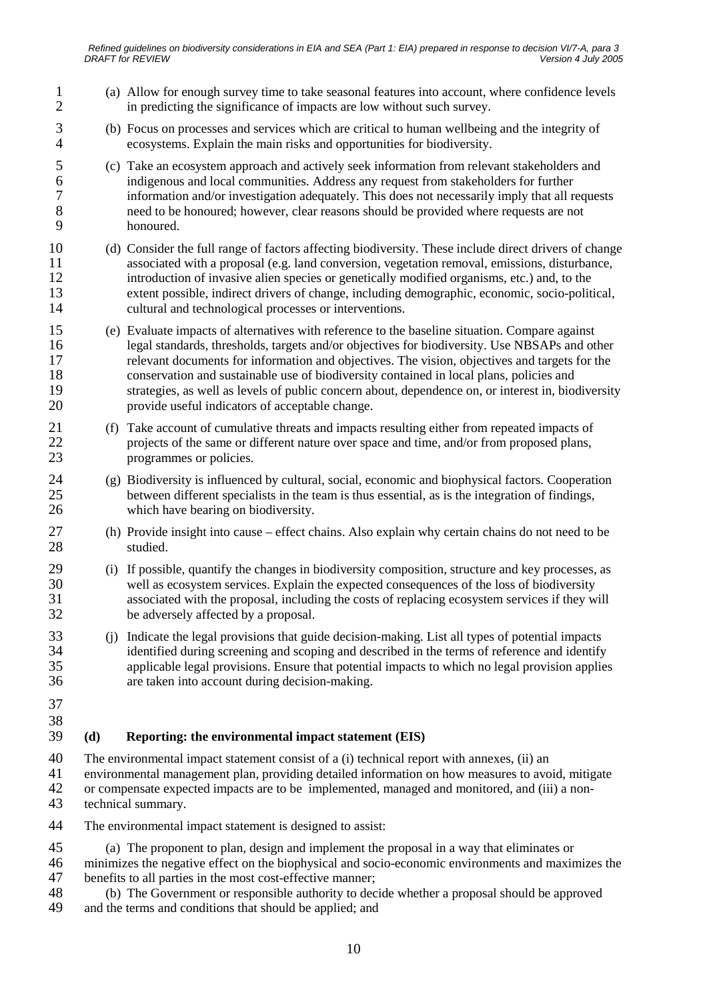- 1 (a) Allow for enough survey time to take seasonal features into account, where confidence levels 2 in predicting the significance of impacts are low without such survey.
- 3 (b) Focus on processes and services which are critical to human wellbeing and the integrity of 4 ecosystems. Explain the main risks and opportunities for biodiversity.
- 5 (c) Take an ecosystem approach and actively seek information from relevant stakeholders and 6 indigenous and local communities. Address any request from stakeholders for further 7 information and/or investigation adequately. This does not necessarily imply that all requests 8 need to be honoured; however, clear reasons should be provided where requests are not 9 honoured.
- 10 (d) Consider the full range of factors affecting biodiversity. These include direct drivers of change 11 associated with a proposal (e.g. land conversion, vegetation removal, emissions, disturbance, 12 introduction of invasive alien species or genetically modified organisms, etc.) and, to the 13 extent possible, indirect drivers of change, including demographic, economic, socio-political, 14 cultural and technological processes or interventions.
- 15 (e) Evaluate impacts of alternatives with reference to the baseline situation. Compare against 16 legal standards, thresholds, targets and/or objectives for biodiversity. Use NBSAPs and other 17 relevant documents for information and objectives. The vision, objectives and targets for the 18 conservation and sustainable use of biodiversity contained in local plans, policies and 19 strategies, as well as levels of public concern about, dependence on, or interest in, biodiversity 20 provide useful indicators of acceptable change.
- 21 (f) Take account of cumulative threats and impacts resulting either from repeated impacts of 22 projects of the same or different nature over space and time, and/or from proposed plans, 23 programmes or policies.
- 24 (g) Biodiversity is influenced by cultural, social, economic and biophysical factors. Cooperation 25 between different specialists in the team is thus essential, as is the integration of findings, 26 which have bearing on biodiversity.
- 27 (h) Provide insight into cause effect chains. Also explain why certain chains do not need to be 28 studied.
- 29 (i) If possible, quantify the changes in biodiversity composition, structure and key processes, as 30 well as ecosystem services. Explain the expected consequences of the loss of biodiversity 31 associated with the proposal, including the costs of replacing ecosystem services if they will 32 be adversely affected by a proposal.
- 33 (j) Indicate the legal provisions that guide decision-making. List all types of potential impacts 34 identified during screening and scoping and described in the terms of reference and identify 35 applicable legal provisions. Ensure that potential impacts to which no legal provision applies 36 are taken into account during decision-making.
- 37
- 38

# 39 **(d) Reporting: the environmental impact statement (EIS)**

- 40 The environmental impact statement consist of a (i) technical report with annexes, (ii) an
- 41 environmental management plan, providing detailed information on how measures to avoid, mitigate 42 or compensate expected impacts are to be implemented, managed and monitored, and (iii) a non-43 technical summary.
- 44 The environmental impact statement is designed to assist:
- 45 (a) The proponent to plan, design and implement the proposal in a way that eliminates or 46 minimizes the negative effect on the biophysical and socio-economic environments and maximizes the benefits to all parties in the most cost-effective manner: benefits to all parties in the most cost-effective manner;
- 48 (b) The Government or responsible authority to decide whether a proposal should be approved 49 and the terms and conditions that should be applied; and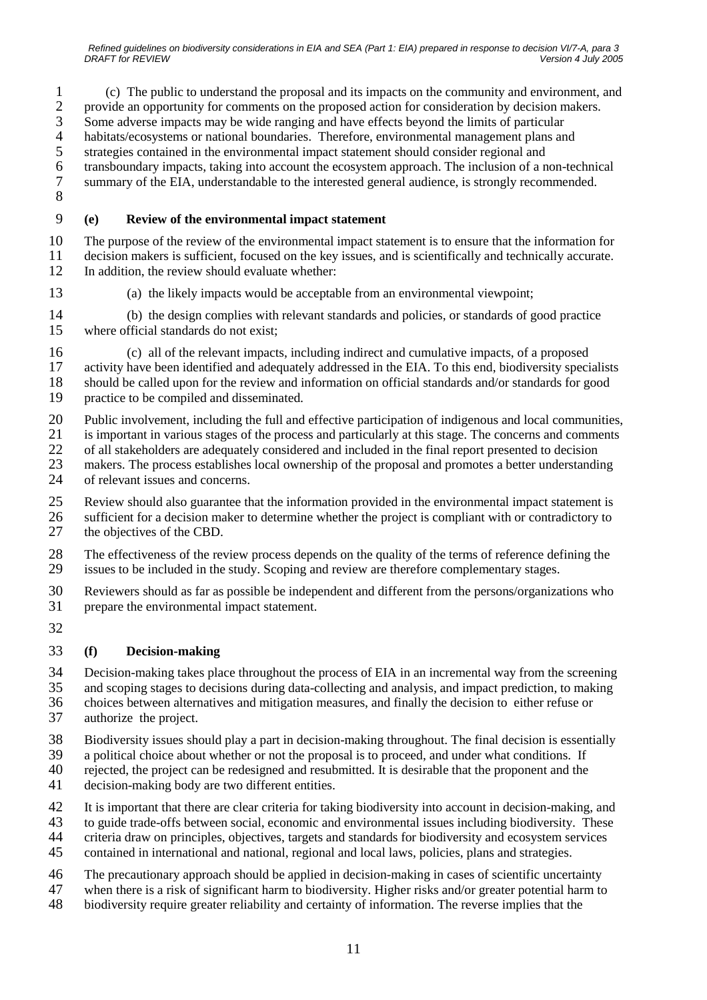1 (c) The public to understand the proposal and its impacts on the community and environment, and 2 provide an opportunity for comments on the proposed action for consideration by decision makers. 3 Some adverse impacts may be wide ranging and have effects beyond the limits of particular<br>4 habitats/ecosystems or national boundaries. Therefore, environmental management plans an 4 habitats/ecosystems or national boundaries. Therefore, environmental management plans and<br>5 strategies contained in the environmental impact statement should consider regional and 5 strategies contained in the environmental impact statement should consider regional and 6 transboundary impacts, taking into account the ecosystem approach. The inclusion of a non-technical

7 summary of the EIA, understandable to the interested general audience, is strongly recommended.

8

# 9 **(e) Review of the environmental impact statement**

10 The purpose of the review of the environmental impact statement is to ensure that the information for 11 decision makers is sufficient, focused on the key issues, and is scientifically and technically accurate. 12 In addition, the review should evaluate whether:

13 (a) the likely impacts would be acceptable from an environmental viewpoint;

14 (b) the design complies with relevant standards and policies, or standards of good practice 15 where official standards do not exist;

16 (c) all of the relevant impacts, including indirect and cumulative impacts, of a proposed 17 activity have been identified and adequately addressed in the EIA. To this end, biodiversity specialists 18 should be called upon for the review and information on official standards and/or standards for good 19 practice to be compiled and disseminated.

20 Public involvement, including the full and effective participation of indigenous and local communities,

21 is important in various stages of the process and particularly at this stage. The concerns and comments

22 of all stakeholders are adequately considered and included in the final report presented to decision

23 makers. The process establishes local ownership of the proposal and promotes a better understanding 24 of relevant issues and concerns.

25 Review should also guarantee that the information provided in the environmental impact statement is 26 sufficient for a decision maker to determine whether the project is compliant with or contradictory to 27 the objectives of the CBD.

28 The effectiveness of the review process depends on the quality of the terms of reference defining the<br>29 issues to be included in the study. Scoping and review are therefore complementary stages. issues to be included in the study. Scoping and review are therefore complementary stages.

30 Reviewers should as far as possible be independent and different from the persons/organizations who 31 prepare the environmental impact statement.

32

# 33 **(f) Decision-making**

34 Decision-making takes place throughout the process of EIA in an incremental way from the screening

35 and scoping stages to decisions during data-collecting and analysis, and impact prediction, to making

36 choices between alternatives and mitigation measures, and finally the decision to either refuse or 37 authorize the project.

38 Biodiversity issues should play a part in decision-making throughout. The final decision is essentially

39 a political choice about whether or not the proposal is to proceed, and under what conditions. If

40 rejected, the project can be redesigned and resubmitted. It is desirable that the proponent and the 41 decision-making body are two different entities.

42 It is important that there are clear criteria for taking biodiversity into account in decision-making, and

43 to guide trade-offs between social, economic and environmental issues including biodiversity. These

44 criteria draw on principles, objectives, targets and standards for biodiversity and ecosystem services

45 contained in international and national, regional and local laws, policies, plans and strategies.

- 46 The precautionary approach should be applied in decision-making in cases of scientific uncertainty
- 47 when there is a risk of significant harm to biodiversity. Higher risks and/or greater potential harm to
- 48 biodiversity require greater reliability and certainty of information. The reverse implies that the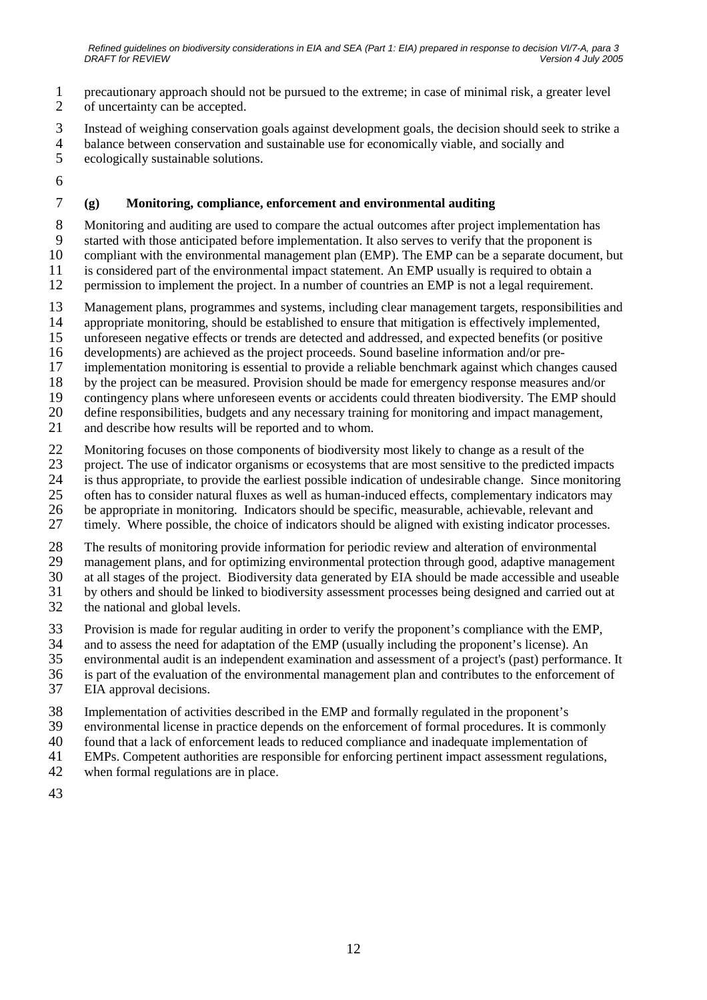- 1 precautionary approach should not be pursued to the extreme; in case of minimal risk, a greater level 2 of uncertainty can be accepted.
- 3 Instead of weighing conservation goals against development goals, the decision should seek to strike a
- 4 balance between conservation and sustainable use for economically viable, and socially and
- 5 ecologically sustainable solutions.
- 6

# 7 **(g) Monitoring, compliance, enforcement and environmental auditing**

8 Monitoring and auditing are used to compare the actual outcomes after project implementation has<br>9 started with those anticipated before implementation. It also serves to verify that the proponent is

- started with those anticipated before implementation. It also serves to verify that the proponent is
- 10 compliant with the environmental management plan (EMP). The EMP can be a separate document, but
- 11 is considered part of the environmental impact statement. An EMP usually is required to obtain a
- 12 permission to implement the project. In a number of countries an EMP is not a legal requirement.
- 13 Management plans, programmes and systems, including clear management targets, responsibilities and<br>14 appropriate monitoring, should be established to ensure that mitigation is effectively implemented.
- appropriate monitoring, should be established to ensure that mitigation is effectively implemented,
- 15 unforeseen negative effects or trends are detected and addressed, and expected benefits (or positive 16 developments) are achieved as the project proceeds. Sound baseline information and/or pre-
- 16 developments) are achieved as the project proceeds. Sound baseline information and/or pre-
- 17 implementation monitoring is essential to provide a reliable benchmark against which changes caused
- 18 by the project can be measured. Provision should be made for emergency response measures and/or
- 19 contingency plans where unforeseen events or accidents could threaten biodiversity. The EMP should<br>20 define responsibilities, budgets and any necessary training for monitoring and impact management. 20 define responsibilities, budgets and any necessary training for monitoring and impact management,
- 
- 21 and describe how results will be reported and to whom.
- 22 Monitoring focuses on those components of biodiversity most likely to change as a result of the
- 23 project. The use of indicator organisms or ecosystems that are most sensitive to the predicted impacts
- 24 is thus appropriate, to provide the earliest possible indication of undesirable change. Since monitoring
- 25 often has to consider natural fluxes as well as human-induced effects, complementary indicators may
- 26 be appropriate in monitoring. Indicators should be specific, measurable, achievable, relevant and
- 27 timely. Where possible, the choice of indicators should be aligned with existing indicator processes.
- 28 The results of monitoring provide information for periodic review and alteration of environmental
- 29 management plans, and for optimizing environmental protection through good, adaptive management
- 30 at all stages of the project. Biodiversity data generated by EIA should be made accessible and useable 31 by others and should be linked to biodiversity assessment processes being designed and carried out at
- by others and should be linked to biodiversity assessment processes being designed and carried out at
- 32 the national and global levels.
- 33 Provision is made for regular auditing in order to verify the proponent's compliance with the EMP,
- 34 and to assess the need for adaptation of the EMP (usually including the proponent's license). An
- 35 environmental audit is an independent examination and assessment of a project's (past) performance. It
- 36 is part of the evaluation of the environmental management plan and contributes to the enforcement of
- 37 EIA approval decisions.
- 38 Implementation of activities described in the EMP and formally regulated in the proponent's
- 39 environmental license in practice depends on the enforcement of formal procedures. It is commonly
- 40 found that a lack of enforcement leads to reduced compliance and inadequate implementation of
- 41 EMPs. Competent authorities are responsible for enforcing pertinent impact assessment regulations,
- 42 when formal regulations are in place.
- 43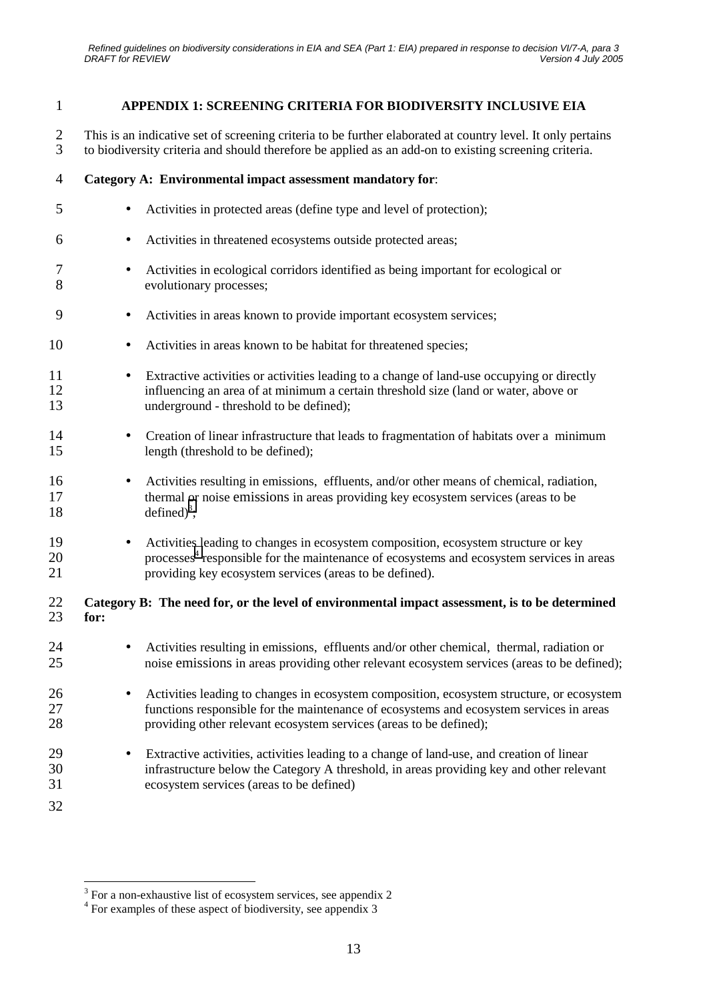#### 1 **APPENDIX 1: SCREENING CRITERIA FOR BIODIVERSITY INCLUSIVE EIA**

2 This is an indicative set of screening criteria to be further elaborated at country level. It only pertains to biodiversity criteria and should therefore be applied as an add-on to existing screening criteria. to biodiversity criteria and should therefore be applied as an add-on to existing screening criteria.

| 4                    |                                        | Category A: Environmental impact assessment mandatory for:                                                                                                                                                                                                 |
|----------------------|----------------------------------------|------------------------------------------------------------------------------------------------------------------------------------------------------------------------------------------------------------------------------------------------------------|
| 5                    | $\bullet$                              | Activities in protected areas (define type and level of protection);                                                                                                                                                                                       |
| 6                    | $\bullet$                              | Activities in threatened ecosystems outside protected areas;                                                                                                                                                                                               |
| 7<br>8               | ٠<br>evolutionary processes;           | Activities in ecological corridors identified as being important for ecological or                                                                                                                                                                         |
| 9                    |                                        | Activities in areas known to provide important ecosystem services;                                                                                                                                                                                         |
| 10                   | ٠                                      | Activities in areas known to be habitat for threatened species;                                                                                                                                                                                            |
| 11<br>12<br>13       | $\bullet$                              | Extractive activities or activities leading to a change of land-use occupying or directly<br>influencing an area of at minimum a certain threshold size (land or water, above or<br>underground - threshold to be defined);                                |
| 14<br>15             | ٠<br>length (threshold to be defined); | Creation of linear infrastructure that leads to fragmentation of habitats over a minimum                                                                                                                                                                   |
| 16<br>17<br>18       | ٠<br>defined) <sup>3</sup> ;           | Activities resulting in emissions, effluents, and/or other means of chemical, radiation,<br>thermal or noise emissions in areas providing key ecosystem services (areas to be                                                                              |
| 19<br>20<br>21       |                                        | Activities leading to changes in ecosystem composition, ecosystem structure or key<br>processes <sup>4</sup> responsible for the maintenance of ecosystems and ecosystem services in areas<br>providing key ecosystem services (areas to be defined).      |
| 22<br>23             | for:                                   | Category B: The need for, or the level of environmental impact assessment, is to be determined                                                                                                                                                             |
| 24<br>25             | $\bullet$                              | Activities resulting in emissions, effluents and/or other chemical, thermal, radiation or<br>noise emissions in areas providing other relevant ecosystem services (areas to be defined);                                                                   |
| 26<br>27<br>28       | ٠                                      | Activities leading to changes in ecosystem composition, ecosystem structure, or ecosystem<br>functions responsible for the maintenance of ecosystems and ecosystem services in areas<br>providing other relevant ecosystem services (areas to be defined); |
| 29<br>30<br>31<br>32 |                                        | Extractive activities, activities leading to a change of land-use, and creation of linear<br>infrastructure below the Category A threshold, in areas providing key and other relevant<br>ecosystem services (areas to be defined)                          |

<sup>&</sup>lt;sup>3</sup> For a non-exhaustive list of ecosystem services, see appendix 2<br><sup>4</sup> For examples of these aspect of biodiversity, see appendix 3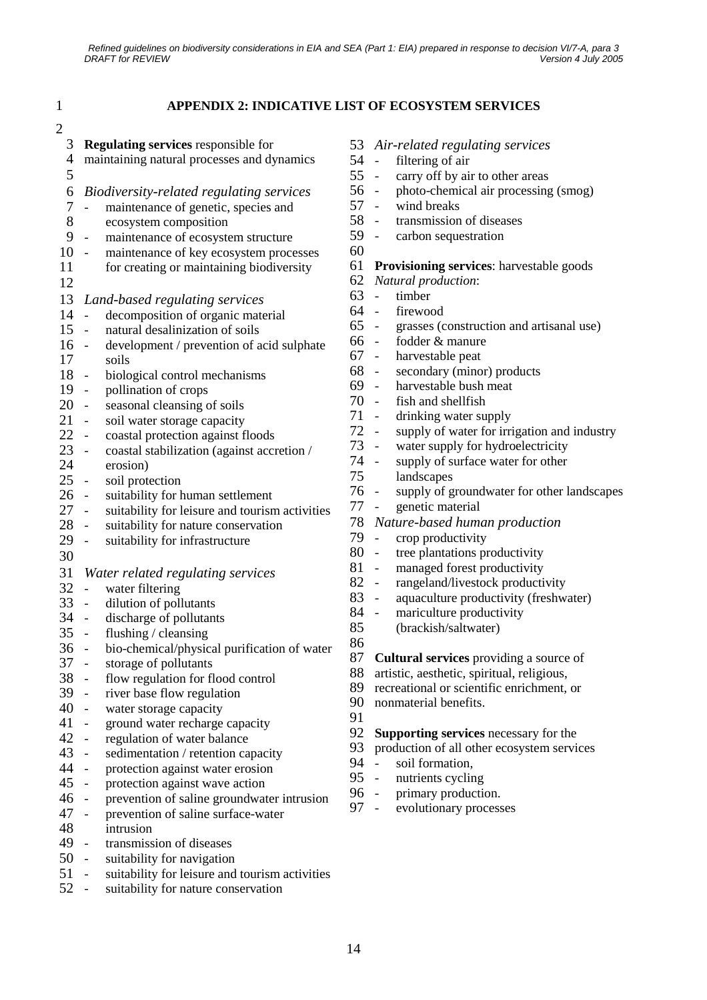#### 1 **APPENDIX 2: INDICATIVE LIST OF ECOSYSTEM SERVICES**

| $\overline{\mathbf{c}}$ |                             |                                                |      |                             |                                                 |
|-------------------------|-----------------------------|------------------------------------------------|------|-----------------------------|-------------------------------------------------|
| 3                       |                             | <b>Regulating services</b> responsible for     | 53   |                             | Air-related regulating services                 |
| 4                       |                             | maintaining natural processes and dynamics     | 54   | $\mathbb{Z}^2$              | filtering of air                                |
| 5                       |                             |                                                | 55   | $\sim$                      | carry off by air to other areas                 |
| 6                       |                             | Biodiversity-related regulating services       | 56   | $\sim$                      | photo-chemical air processing (smog)            |
| 7                       | $\qquad \qquad -$           | maintenance of genetic, species and            | 57   | $\sim$                      | wind breaks                                     |
| 8                       |                             | ecosystem composition                          | 58   | $\sim$                      | transmission of diseases                        |
| 9                       | $\blacksquare$              | maintenance of ecosystem structure             | 59   | $\blacksquare$              | carbon sequestration                            |
| 10                      | $\blacksquare$              | maintenance of key ecosystem processes         | 60   |                             |                                                 |
| 11                      |                             | for creating or maintaining biodiversity       | 61   |                             | <b>Provisioning services:</b> harvestable goods |
| 12                      |                             |                                                | 62   |                             | Natural production:                             |
| 13                      |                             | Land-based regulating services                 | 63   | $\mathbb{Z}^2$              | timber                                          |
| 14                      | $\overline{\phantom{a}}$    | decomposition of organic material              | 64   | $\overline{\phantom{a}}$    | firewood                                        |
| 15                      | $\mathcal{L}_{\mathcal{A}}$ | natural desalinization of soils                | 65   | $\overline{\phantom{a}}$    | grasses (construction and artisanal use         |
| 16                      | $\overline{\phantom{a}}$    | development / prevention of acid sulphate      | 66   | $\blacksquare$              | fodder & manure                                 |
| 17                      |                             | soils                                          | 67   | $\blacksquare$              | harvestable peat                                |
| 18                      | $\sim$ $-$                  | biological control mechanisms                  | 68   | $\mathbb{Z}^2$              | secondary (minor) products                      |
| 19                      | $\overline{\phantom{a}}$    | pollination of crops                           | 69   | $\sim$                      | harvestable bush meat                           |
| 20                      | $\overline{\phantom{a}}$    | seasonal cleansing of soils                    | 70   | $\sim$                      | fish and shellfish                              |
| 21                      | $\overline{\phantom{a}}$    | soil water storage capacity                    | 71   | $\mathbb{Z}^2$              | drinking water supply                           |
| 22                      | $\overline{\phantom{a}}$    | coastal protection against floods              | 72   | $\sim$                      | supply of water for irrigation and indu         |
| 23                      | $\mathcal{L}_{\mathcal{A}}$ | coastal stabilization (against accretion /     | 73 - |                             | water supply for hydroelectricity               |
| 24                      |                             | erosion)                                       | 74 - |                             | supply of surface water for other               |
| 25                      | $\sim$                      | soil protection                                | 75   |                             | landscapes                                      |
| 26                      | $\sim$                      | suitability for human settlement               | 76   | $\sim$                      | supply of groundwater for other lands           |
| 27                      | $\Box$                      | suitability for leisure and tourism activities | 77   | $\overline{\phantom{a}}$    | genetic material                                |
| 28 -                    |                             | suitability for nature conservation            | 78   |                             | Nature-based human production                   |
| 29                      | $\overline{\phantom{a}}$    | suitability for infrastructure                 | 79   | $\Box$                      | crop productivity                               |
| 30                      |                             |                                                | 80   | $\blacksquare$              | tree plantations productivity                   |
| 31                      |                             | Water related regulating services              | 81   | $\blacksquare$              | managed forest productivity                     |
| 32                      | $\omega$                    | water filtering                                | 82   | $\sim$                      | rangeland/livestock productivity                |
| 33                      | $\sim$                      | dilution of pollutants                         | 83   | $\mathcal{L}_{\mathcal{A}}$ | aquaculture productivity (freshwater)           |
| 34                      | $\pm$                       | discharge of pollutants                        | 84   | $\bar{\mathbb{Z}}$          | mariculture productivity                        |
| 35                      | $\mathcal{L}_{\mathcal{A}}$ | flushing / cleansing                           | 85   |                             | (brackish/saltwater)                            |
| 36                      | $\overline{a}$              | bio-chemical/physical purification of water    | 86   |                             |                                                 |
| $37 -$                  |                             | storage of pollutants                          | 87   |                             | <b>Cultural services</b> providing a source of  |
| $38 -$                  |                             | flow regulation for flood control              | 88   |                             | artistic, aesthetic, spiritual, religious,      |
| 39 -                    |                             | river base flow regulation                     | 89   |                             | recreational or scientific enrichment, or       |
| 40                      | $\sim$ $-$                  | water storage capacity                         | 90   |                             | nonmaterial benefits.                           |
| 41                      | $\overline{\phantom{a}}$    | ground water recharge capacity                 | 91   |                             |                                                 |
| 42                      | $\sim$                      | regulation of water balance                    | 92   |                             | <b>Supporting services</b> necessary for the    |
| 43 -                    |                             | sedimentation / retention capacity             | 93   |                             | production of all other ecosystem services      |
| 44                      | $\overline{\phantom{a}}$    | protection against water erosion               | 94   | $\equiv$                    | soil formation,                                 |
| 45                      | $\overline{\phantom{a}}$    | protection against wave action                 | 95   | $\sim$                      | nutrients cycling                               |
| 46 -                    |                             | prevention of saline groundwater intrusion     | 96   | $\mathcal{L}_{\mathcal{A}}$ | primary production.                             |
| 47                      | $\overline{\phantom{a}}$    | prevention of saline surface-water             | 97   | $\sim$                      | evolutionary processes                          |
| 48                      |                             | intrusion                                      |      |                             |                                                 |
| 49 -                    |                             | transmission of diseases                       |      |                             |                                                 |
| 50                      | $\sim$                      | suitability for navigation                     |      |                             |                                                 |
| 51                      | $\blacksquare$              | suitability for leisure and tourism activities |      |                             |                                                 |
| $52 -$                  |                             | suitability for nature conservation            |      |                             |                                                 |

eaks ssion of diseases sequestration 61 **Provisioning services**: harvestable goods 62 *Natural production*: 64 - firewood (construction and artisanal use) k manure able peat ry (minor) products able bush meat shellfish water supply of water for irrigation and industry pply for hydroelectricity of surface water for other nes of groundwater for other landscapes material 78 *Nature-based human production*  ductivity ntations productivity d forest productivity ad/livestock productivity ture productivity (freshwater) ture productivity h/saltwater) **rvices** providing a source of hetic, spiritual, religious, or scientific enrichment, or benefits. services necessary for the of all other ecosystem services nation, s cycling production. nary processes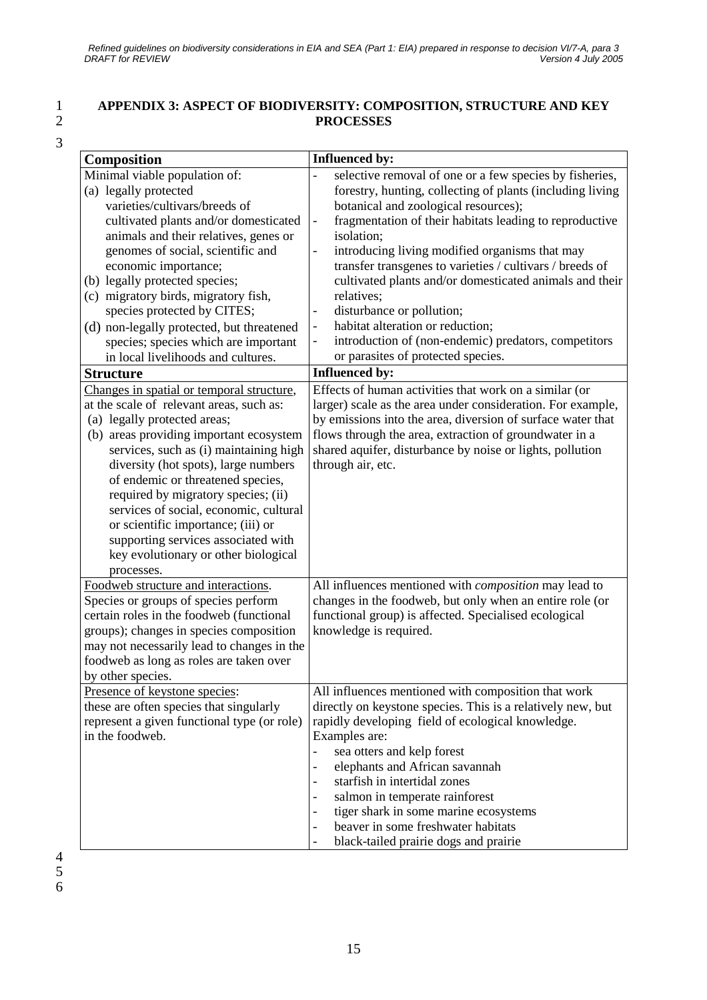# 3

# 1 **APPENDIX 3: ASPECT OF BIODIVERSITY: COMPOSITION, STRUCTURE AND KEY PROCESSES** 2 **PROCESSES**

| Composition                                                                                                                                                                                                                                                                                                                                                                                                                                                                                                 | <b>Influenced by:</b>                                                                                                                                                                                                                                                                                                                                                                                                                                                                                                                                                         |
|-------------------------------------------------------------------------------------------------------------------------------------------------------------------------------------------------------------------------------------------------------------------------------------------------------------------------------------------------------------------------------------------------------------------------------------------------------------------------------------------------------------|-------------------------------------------------------------------------------------------------------------------------------------------------------------------------------------------------------------------------------------------------------------------------------------------------------------------------------------------------------------------------------------------------------------------------------------------------------------------------------------------------------------------------------------------------------------------------------|
| Minimal viable population of:<br>(a) legally protected<br>varieties/cultivars/breeds of<br>cultivated plants and/or domesticated<br>animals and their relatives, genes or<br>genomes of social, scientific and<br>economic importance;<br>(b) legally protected species;<br>(c) migratory birds, migratory fish,<br>species protected by CITES;<br>(d) non-legally protected, but threatened                                                                                                                | selective removal of one or a few species by fisheries,<br>-<br>forestry, hunting, collecting of plants (including living<br>botanical and zoological resources);<br>fragmentation of their habitats leading to reproductive<br>$\blacksquare$<br>isolation;<br>introducing living modified organisms that may<br>$\overline{a}$<br>transfer transgenes to varieties / cultivars / breeds of<br>cultivated plants and/or domesticated animals and their<br>relatives;<br>disturbance or pollution;<br>$\qquad \qquad -$<br>habitat alteration or reduction;<br>$\blacksquare$ |
| species; species which are important<br>in local livelihoods and cultures.                                                                                                                                                                                                                                                                                                                                                                                                                                  | introduction of (non-endemic) predators, competitors<br>$\overline{a}$<br>or parasites of protected species.                                                                                                                                                                                                                                                                                                                                                                                                                                                                  |
| <b>Structure</b>                                                                                                                                                                                                                                                                                                                                                                                                                                                                                            | <b>Influenced by:</b>                                                                                                                                                                                                                                                                                                                                                                                                                                                                                                                                                         |
| Changes in spatial or temporal structure,<br>at the scale of relevant areas, such as:<br>(a) legally protected areas;<br>(b) areas providing important ecosystem<br>services, such as (i) maintaining high<br>diversity (hot spots), large numbers<br>of endemic or threatened species,<br>required by migratory species; (ii)<br>services of social, economic, cultural<br>or scientific importance; (iii) or<br>supporting services associated with<br>key evolutionary or other biological<br>processes. | Effects of human activities that work on a similar (or<br>larger) scale as the area under consideration. For example,<br>by emissions into the area, diversion of surface water that<br>flows through the area, extraction of groundwater in a<br>shared aquifer, disturbance by noise or lights, pollution<br>through air, etc.                                                                                                                                                                                                                                              |
| Foodweb structure and interactions.<br>Species or groups of species perform<br>certain roles in the foodweb (functional<br>groups); changes in species composition<br>may not necessarily lead to changes in the<br>foodweb as long as roles are taken over<br>by other species.                                                                                                                                                                                                                            | All influences mentioned with <i>composition</i> may lead to<br>changes in the foodweb, but only when an entire role (or<br>functional group) is affected. Specialised ecological<br>knowledge is required.                                                                                                                                                                                                                                                                                                                                                                   |
| Presence of keystone species:<br>these are often species that singularly<br>represent a given functional type (or role)<br>in the foodweb.                                                                                                                                                                                                                                                                                                                                                                  | All influences mentioned with composition that work<br>directly on keystone species. This is a relatively new, but<br>rapidly developing field of ecological knowledge.<br>Examples are:<br>sea otters and kelp forest<br>$\overline{\phantom{0}}$<br>elephants and African savannah<br>$\qquad \qquad -$<br>starfish in intertidal zones<br>salmon in temperate rainforest<br>tiger shark in some marine ecosystems<br>beaver in some freshwater habitats<br>black-tailed prairie dogs and prairie                                                                           |